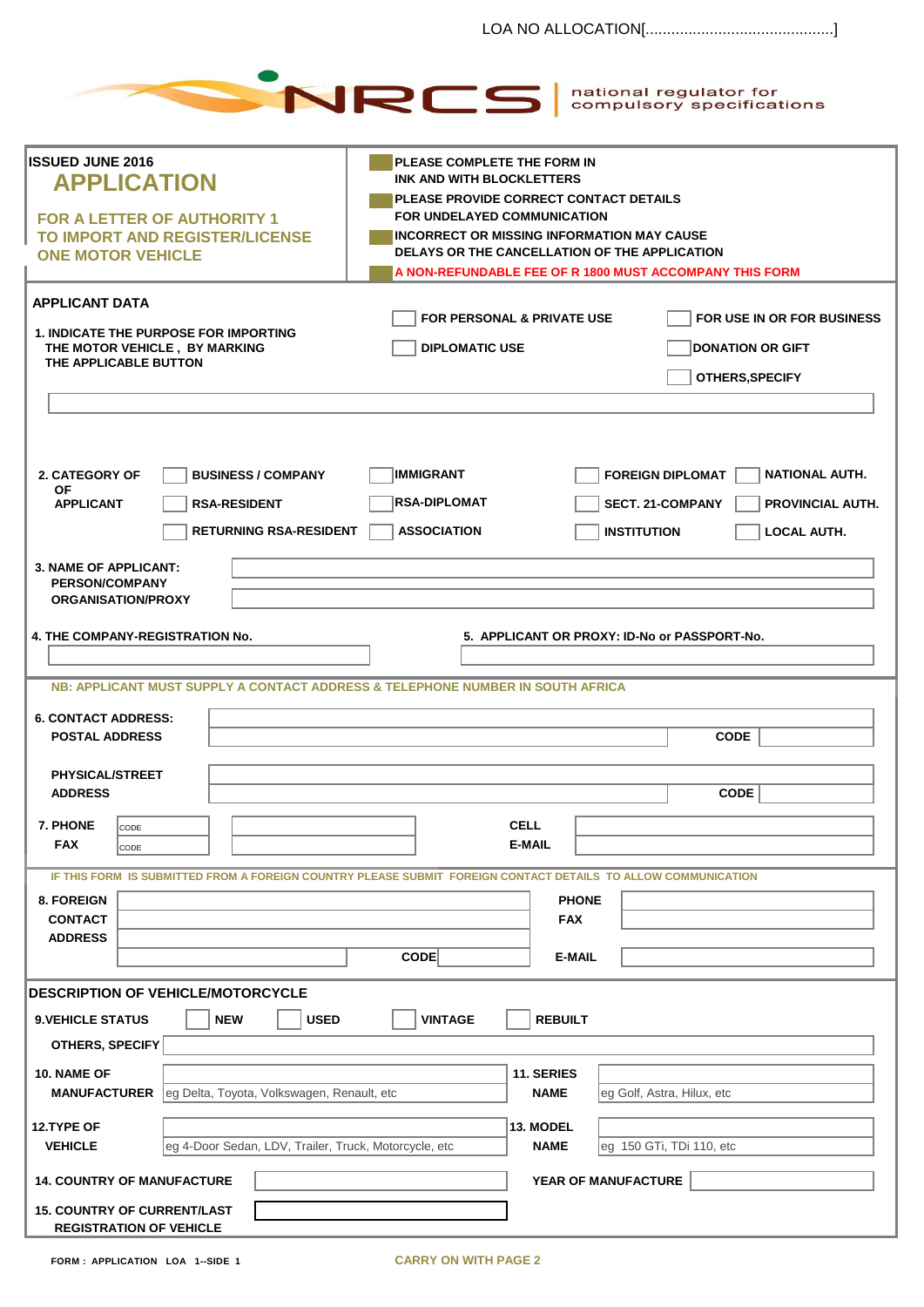|                                                                                                                                       | national regulator for<br>NRCS<br>compulsory specifications                                                                                                                                                                                   |  |  |  |
|---------------------------------------------------------------------------------------------------------------------------------------|-----------------------------------------------------------------------------------------------------------------------------------------------------------------------------------------------------------------------------------------------|--|--|--|
| <b>ISSUED JUNE 2016</b><br><b>APPLICATION</b>                                                                                         | PLEASE COMPLETE THE FORM IN<br>INK AND WITH BLOCKLETTERS                                                                                                                                                                                      |  |  |  |
| <b>FOR A LETTER OF AUTHORITY 1</b><br>TO IMPORT AND REGISTER/LICENSE<br><b>ONE MOTOR VEHICLE</b>                                      | PLEASE PROVIDE CORRECT CONTACT DETAILS<br><b>FOR UNDELAYED COMMUNICATION</b><br><b>INCORRECT OR MISSING INFORMATION MAY CAUSE</b><br>DELAYS OR THE CANCELLATION OF THE APPLICATION<br>A NON-REFUNDABLE FEE OF R 1800 MUST ACCOMPANY THIS FORM |  |  |  |
| <b>APPLICANT DATA</b>                                                                                                                 |                                                                                                                                                                                                                                               |  |  |  |
| <b>1. INDICATE THE PURPOSE FOR IMPORTING</b><br>THE MOTOR VEHICLE, BY MARKING<br>THE APPLICABLE BUTTON                                | <b>FOR PERSONAL &amp; PRIVATE USE</b><br>FOR USE IN OR FOR BUSINESS<br><b>DIPLOMATIC USE</b><br><b>DONATION OR GIFT</b><br>OTHERS, SPECIFY                                                                                                    |  |  |  |
| 2. CATEGORY OF<br><b>BUSINESS / COMPANY</b><br>ΟF<br><b>APPLICANT</b><br><b>RSA-RESIDENT</b><br><b>RETURNING RSA-RESIDENT</b>         | <b>IMMIGRANT</b><br><b>NATIONAL AUTH.</b><br><b>FOREIGN DIPLOMAT</b><br><b>RSA-DIPLOMAT</b><br><b>SECT. 21-COMPANY</b><br>PROVINCIAL AUTH.<br><b>ASSOCIATION</b><br><b>INSTITUTION</b><br><b>LOCAL AUTH.</b>                                  |  |  |  |
| <b>3. NAME OF APPLICANT:</b><br><b>PERSON/COMPANY</b><br><b>ORGANISATION/PROXY</b>                                                    |                                                                                                                                                                                                                                               |  |  |  |
| 4. THE COMPANY-REGISTRATION No.                                                                                                       | 5. APPLICANT OR PROXY: ID-No or PASSPORT-No.                                                                                                                                                                                                  |  |  |  |
| NB: APPLICANT MUST SUPPLY A CONTACT ADDRESS & TELEPHONE NUMBER IN SOUTH AFRICA<br><b>6. CONTACT ADDRESS:</b><br><b>POSTAL ADDRESS</b> | <b>CODE</b>                                                                                                                                                                                                                                   |  |  |  |
| PHYSICAL/STREET<br><b>ADDRESS</b>                                                                                                     | <b>CODE</b>                                                                                                                                                                                                                                   |  |  |  |
| 7. PHONE<br>CODE<br><b>FAX</b><br>CODE                                                                                                | <b>CELL</b><br><b>E-MAIL</b>                                                                                                                                                                                                                  |  |  |  |
| 8. FOREIGN<br><b>CONTACT</b><br><b>ADDRESS</b>                                                                                        | IF THIS FORM IS SUBMITTED FROM A FOREIGN COUNTRY PLEASE SUBMIT FOREIGN CONTACT DETAILS TO ALLOW COMMUNICATION<br><b>PHONE</b><br><b>FAX</b><br>$\text{CODE}$<br><b>E-MAIL</b>                                                                 |  |  |  |
| <b>IDESCRIPTION OF VEHICLE/MOTORCYCLE</b>                                                                                             |                                                                                                                                                                                                                                               |  |  |  |
| <b>NEW</b><br><b>USED</b><br><b>9. VEHICLE STATUS</b><br>OTHERS, SPECIFY                                                              | <b>VINTAGE</b><br><b>REBUILT</b>                                                                                                                                                                                                              |  |  |  |
| 10. NAME OF<br>eg Delta, Toyota, Volkswagen, Renault, etc<br><b>MANUFACTURER</b>                                                      | 11. SERIES<br><b>NAME</b><br>eg Golf, Astra, Hilux, etc                                                                                                                                                                                       |  |  |  |
| 12.TYPE OF<br>eg 4-Door Sedan, LDV, Trailer, Truck, Motorcycle, etc<br><b>VEHICLE</b>                                                 | 13. MODEL<br><b>NAME</b><br>eg 150 GTi, TDi 110, etc                                                                                                                                                                                          |  |  |  |
| <b>14. COUNTRY OF MANUFACTURE</b>                                                                                                     | YEAR OF MANUFACTURE                                                                                                                                                                                                                           |  |  |  |
| <b>15. COUNTRY OF CURRENT/LAST</b><br><b>REGISTRATION OF VEHICLE</b>                                                                  |                                                                                                                                                                                                                                               |  |  |  |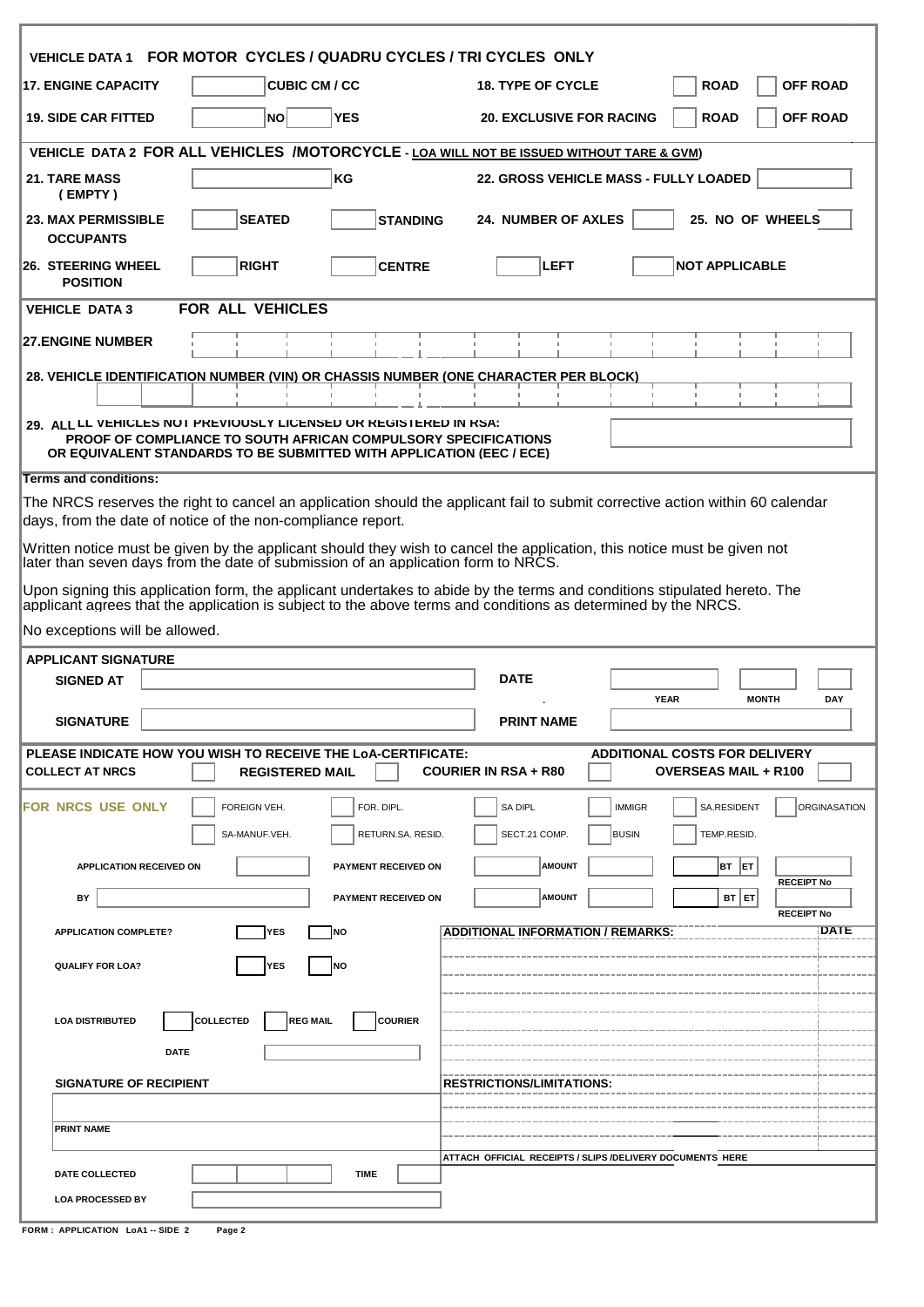| VEHICLE DATA 1 FOR MOTOR CYCLES / QUADRU CYCLES / TRI CYCLES ONLY                                                                                                                                                                         |                                                                                                    |
|-------------------------------------------------------------------------------------------------------------------------------------------------------------------------------------------------------------------------------------------|----------------------------------------------------------------------------------------------------|
| <b>CUBIC CM / CC</b><br><b>17. ENGINE CAPACITY</b>                                                                                                                                                                                        | <b>OFF ROAD</b><br><b>18. TYPE OF CYCLE</b><br><b>ROAD</b>                                         |
| <b>YES</b><br><b>19. SIDE CAR FITTED</b><br>NO                                                                                                                                                                                            | <b>ROAD</b><br><b>OFF ROAD</b><br><b>20. EXCLUSIVE FOR RACING</b>                                  |
| VEHICLE DATA 2 FOR ALL VEHICLES /MOTORCYCLE - LOA WILL NOT BE ISSUED WITHOUT TARE & GVM)                                                                                                                                                  |                                                                                                    |
| KG<br><b>21. TARE MASS</b><br>(EMPTY)                                                                                                                                                                                                     | 22. GROSS VEHICLE MASS - FULLY LOADED                                                              |
| <b>23. MAX PERMISSIBLE</b><br><b>SEATED</b><br><b>STANDING</b><br><b>OCCUPANTS</b>                                                                                                                                                        | <b>24. NUMBER OF AXLES</b><br>25. NO OF WHEELS                                                     |
| <b>RIGHT</b><br><b>CENTRE</b><br><b>26. STEERING WHEEL</b><br><b>POSITION</b>                                                                                                                                                             | <b>LEFT</b><br><b>NOT APPLICABLE</b>                                                               |
| FOR ALL VEHICLES<br><b>VEHICLE DATA 3</b>                                                                                                                                                                                                 |                                                                                                    |
| <b>27.ENGINE NUMBER</b>                                                                                                                                                                                                                   |                                                                                                    |
| 28. VEHICLE IDENTIFICATION NUMBER (VIN) OR CHASSIS NUMBER (ONE CHARACTER PER BLOCK)                                                                                                                                                       |                                                                                                    |
| 29. ALL LL VEHICLES NOT PREVIOUSLY LICENSED OR REGISTERED IN RSA:<br><b>PROOF OF COMPLIANCE TO SOUTH AFRICAN COMPULSORY SPECIFICATIONS</b><br>OR EQUIVALENT STANDARDS TO BE SUBMITTED WITH APPLICATION (EEC / ECE)                        |                                                                                                    |
| <b>Terms and conditions:</b>                                                                                                                                                                                                              |                                                                                                    |
| The NRCS reserves the right to cancel an application should the applicant fail to submit corrective action within 60 calendar<br>days, from the date of notice of the non-compliance report.                                              |                                                                                                    |
| Written notice must be given by the applicant should they wish to cancel the application, this notice must be given not<br>later than seven days from the date of submission of an application form to NRCS.                              |                                                                                                    |
| Upon signing this application form, the applicant undertakes to abide by the terms and conditions stipulated hereto. The<br>applicant agrees that the application is subject to the above terms and conditions as determined by the NRCS. |                                                                                                    |
| No exceptions will be allowed.                                                                                                                                                                                                            |                                                                                                    |
| <b>APPLICANT SIGNATURE</b>                                                                                                                                                                                                                |                                                                                                    |
| <b>SIGNED AT</b>                                                                                                                                                                                                                          | <b>DATE</b><br><b>YEAR</b><br>DAY<br><b>MONTH</b>                                                  |
| <b>SIGNATURE</b>                                                                                                                                                                                                                          | <b>PRINT NAME</b>                                                                                  |
| PLEASE INDICATE HOW YOU WISH TO RECEIVE THE LOA-CERTIFICATE:<br><b>COLLECT AT NRCS</b><br><b>REGISTERED MAIL</b>                                                                                                                          | <b>ADDITIONAL COSTS FOR DELIVERY</b><br><b>COURIER IN RSA + R80</b><br><b>OVERSEAS MAIL + R100</b> |
| IFOR NRCS USE ONLY<br>FOR. DIPL.<br>FOREIGN VEH.                                                                                                                                                                                          | SA DIPL<br>SA.RESIDENT<br><b>ORGINASATION</b><br><b>IMMIGR</b>                                     |
| SA-MANUF.VEH.<br>RETURN.SA. RESID.<br><b>APPLICATION RECEIVED ON</b><br><b>PAYMENT RECEIVED ON</b>                                                                                                                                        | SECT.21 COMP.<br>TEMP.RESID.<br><b>BUSIN</b><br><b>AMOUNT</b><br>BT ET                             |
| ΒY<br><b>PAYMENT RECEIVED ON</b>                                                                                                                                                                                                          | <b>RECEIPT No</b><br><b>AMOUNT</b><br>BT ET                                                        |
| <b>YES</b><br><b>NO</b><br><b>APPLICATION COMPLETE?</b>                                                                                                                                                                                   | <b>RECEIPT No</b><br>DATE<br><b>ADDITIONAL INFORMATION / REMARKS:</b>                              |
| <b>YES</b><br><b>QUALIFY FOR LOA?</b><br><b>NO</b>                                                                                                                                                                                        |                                                                                                    |
|                                                                                                                                                                                                                                           |                                                                                                    |
| <b>COLLECTED</b><br><b>REG MAIL</b><br><b>COURIER</b><br><b>LOA DISTRIBUTED</b>                                                                                                                                                           |                                                                                                    |
| <b>DATE</b>                                                                                                                                                                                                                               |                                                                                                    |
| <b>SIGNATURE OF RECIPIENT</b>                                                                                                                                                                                                             |                                                                                                    |
|                                                                                                                                                                                                                                           | <b>RESTRICTIONS/LIMITATIONS:</b>                                                                   |
|                                                                                                                                                                                                                                           |                                                                                                    |
| <b>PRINT NAME</b>                                                                                                                                                                                                                         |                                                                                                    |
| <b>TIME</b><br>DATE COLLECTED                                                                                                                                                                                                             | ATTACH OFFICIAL RECEIPTS / SLIPS / DELIVERY DOCUMENTS HERE                                         |

| <b>FORM: APPLICATION LoA1--SIDE 2</b> |  | Page 2 |
|---------------------------------------|--|--------|
|                                       |  |        |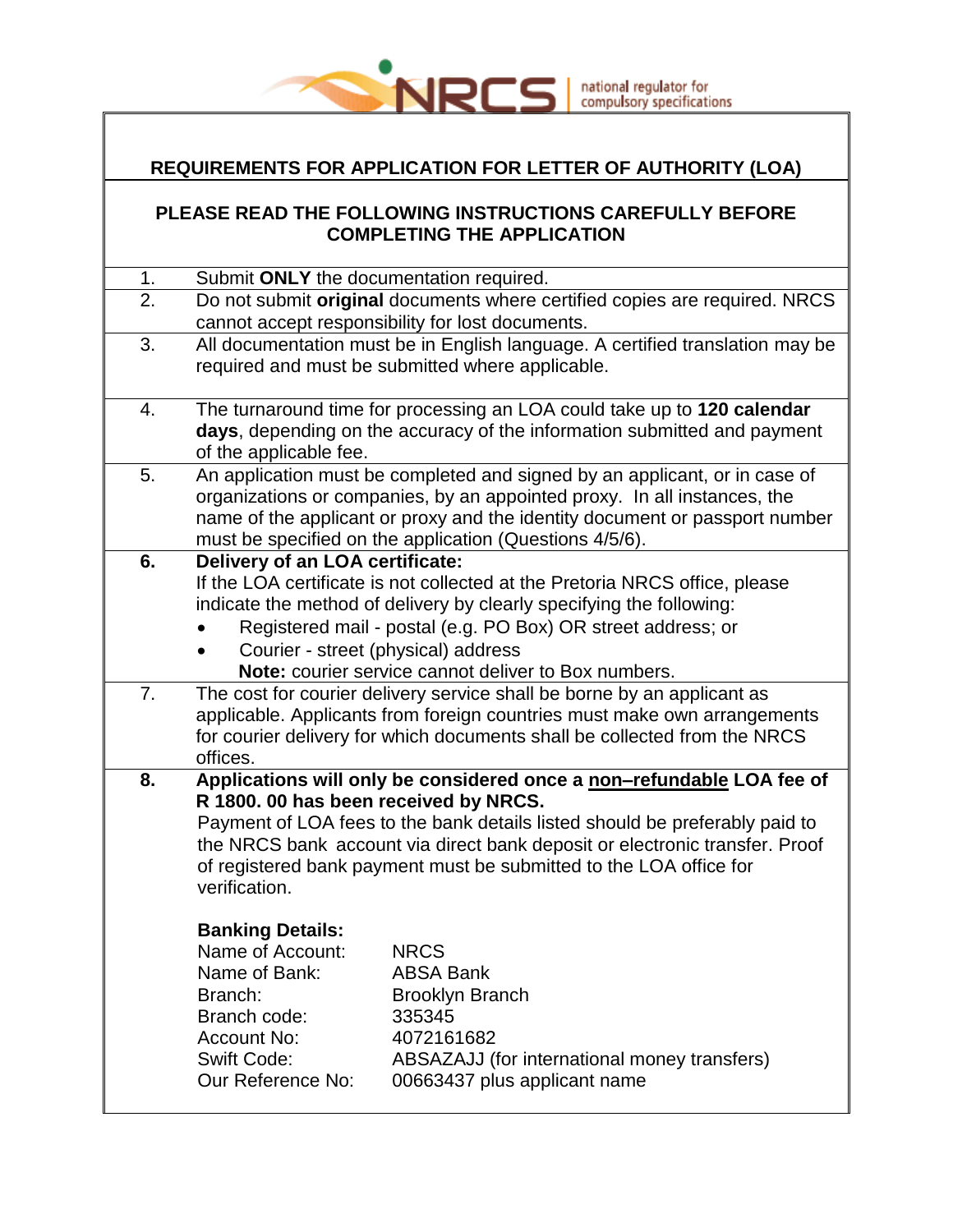

#### **REQUIREMENTS FOR APPLICATION FOR LETTER OF AUTHORITY (LOA)**

#### **PLEASE READ THE FOLLOWING INSTRUCTIONS CAREFULLY BEFORE COMPLETING THE APPLICATION**

| 1. | Submit ONLY the documentation required.     |                                                                               |
|----|---------------------------------------------|-------------------------------------------------------------------------------|
| 2. |                                             | Do not submit original documents where certified copies are required. NRCS    |
|    |                                             | cannot accept responsibility for lost documents.                              |
| 3. |                                             | All documentation must be in English language. A certified translation may be |
|    |                                             | required and must be submitted where applicable.                              |
|    |                                             |                                                                               |
| 4. |                                             | The turnaround time for processing an LOA could take up to 120 calendar       |
|    |                                             | days, depending on the accuracy of the information submitted and payment      |
|    | of the applicable fee.                      |                                                                               |
| 5. |                                             | An application must be completed and signed by an applicant, or in case of    |
|    |                                             | organizations or companies, by an appointed proxy. In all instances, the      |
|    |                                             | name of the applicant or proxy and the identity document or passport number   |
|    |                                             | must be specified on the application (Questions 4/5/6).                       |
| 6. | Delivery of an LOA certificate:             |                                                                               |
|    |                                             | If the LOA certificate is not collected at the Pretoria NRCS office, please   |
|    |                                             | indicate the method of delivery by clearly specifying the following:          |
|    |                                             | Registered mail - postal (e.g. PO Box) OR street address; or                  |
|    |                                             | Courier - street (physical) address                                           |
|    |                                             | Note: courier service cannot deliver to Box numbers.                          |
| 7. |                                             | The cost for courier delivery service shall be borne by an applicant as       |
|    |                                             | applicable. Applicants from foreign countries must make own arrangements      |
|    |                                             | for courier delivery for which documents shall be collected from the NRCS     |
|    | offices.                                    |                                                                               |
| 8. |                                             | Applications will only be considered once a non-refundable LOA fee of         |
|    | R 1800. 00 has been received by NRCS.       |                                                                               |
|    |                                             | Payment of LOA fees to the bank details listed should be preferably paid to   |
|    |                                             | the NRCS bank account via direct bank deposit or electronic transfer. Proof   |
|    |                                             | of registered bank payment must be submitted to the LOA office for            |
|    | verification.                               |                                                                               |
|    |                                             |                                                                               |
|    | <b>Banking Details:</b><br>Name of Account: | <b>NRCS</b>                                                                   |
|    |                                             | <b>ABSA Bank</b>                                                              |
|    | Name of Bank:<br>Branch:                    |                                                                               |
|    | Branch code:                                | <b>Brooklyn Branch</b><br>335345                                              |
|    | <b>Account No:</b>                          | 4072161682                                                                    |
|    | <b>Swift Code:</b>                          |                                                                               |
|    | Our Reference No:                           | ABSAZAJJ (for international money transfers)<br>00663437 plus applicant name  |
|    |                                             |                                                                               |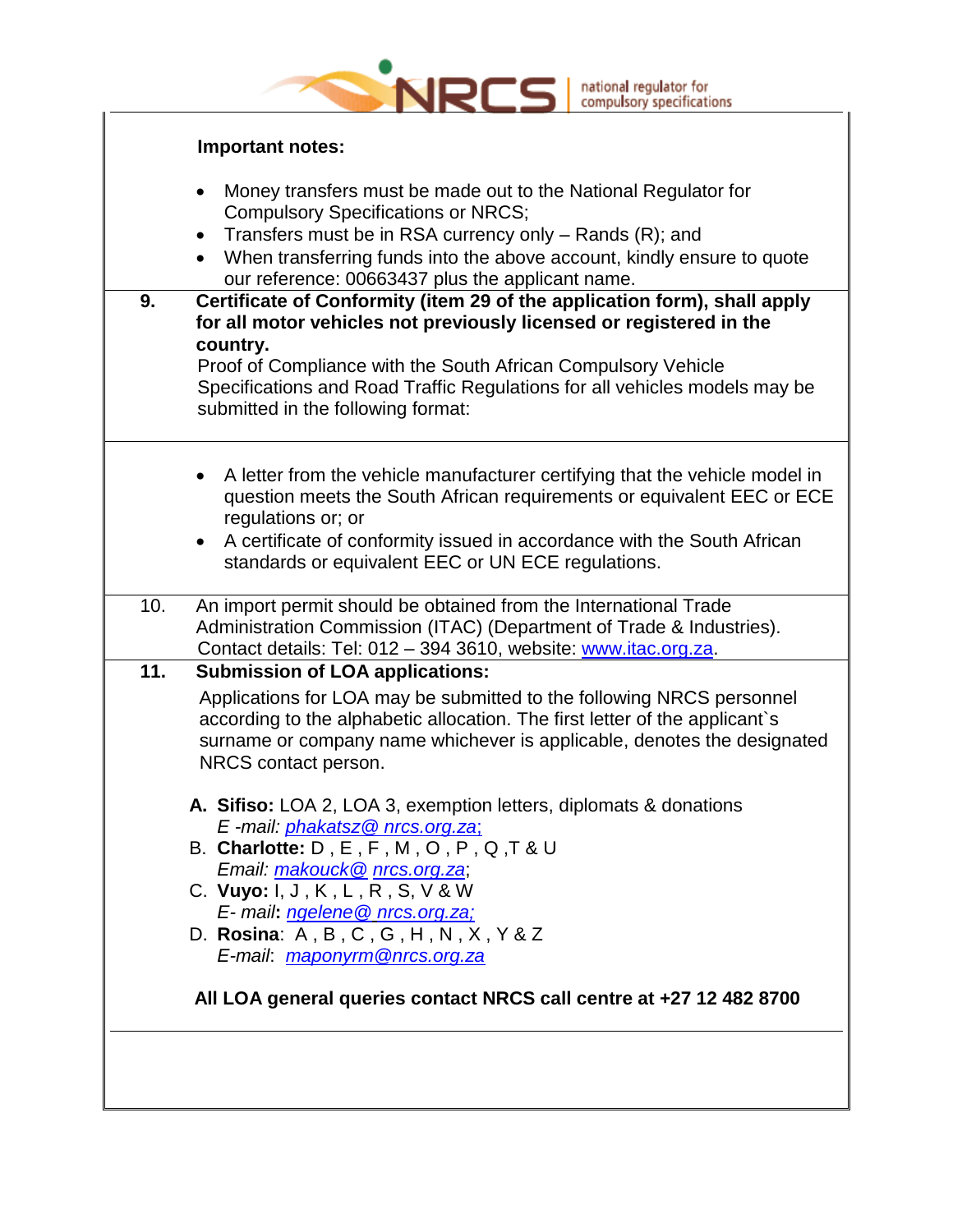|     | national regulator for<br>compulsory specifications                                                                                                                                                                                                                                                                                                                                                                                                                                                                                                                                                                                                                     |
|-----|-------------------------------------------------------------------------------------------------------------------------------------------------------------------------------------------------------------------------------------------------------------------------------------------------------------------------------------------------------------------------------------------------------------------------------------------------------------------------------------------------------------------------------------------------------------------------------------------------------------------------------------------------------------------------|
|     | Important notes:                                                                                                                                                                                                                                                                                                                                                                                                                                                                                                                                                                                                                                                        |
| 9.  | Money transfers must be made out to the National Regulator for<br><b>Compulsory Specifications or NRCS;</b><br>Transfers must be in RSA currency only $-$ Rands (R); and<br>$\bullet$<br>When transferring funds into the above account, kindly ensure to quote<br>our reference: 00663437 plus the applicant name.<br>Certificate of Conformity (item 29 of the application form), shall apply<br>for all motor vehicles not previously licensed or registered in the<br>country.<br>Proof of Compliance with the South African Compulsory Vehicle<br>Specifications and Road Traffic Regulations for all vehicles models may be<br>submitted in the following format: |
|     | A letter from the vehicle manufacturer certifying that the vehicle model in<br>question meets the South African requirements or equivalent EEC or ECE<br>regulations or; or<br>A certificate of conformity issued in accordance with the South African<br>standards or equivalent EEC or UN ECE regulations.                                                                                                                                                                                                                                                                                                                                                            |
| 10. | An import permit should be obtained from the International Trade<br>Administration Commission (ITAC) (Department of Trade & Industries).<br>Contact details: Tel: 012 - 394 3610, website: www.itac.org.za.                                                                                                                                                                                                                                                                                                                                                                                                                                                             |
| 11. | <b>Submission of LOA applications:</b><br>Applications for LOA may be submitted to the following NRCS personnel<br>according to the alphabetic allocation. The first letter of the applicant`s<br>surname or company name whichever is applicable, denotes the designated<br>NRCS contact person.<br>A. Sifiso: LOA 2, LOA 3, exemption letters, diplomats & donations<br>E-mail: phakatsz@ nrcs.org.za;<br>B. Charlotte: $D, E, F, M, O, P, Q, T ∪ U$<br>Email: makouck@ nrcs.org.za;<br>C. Vuyo: I, J, K, L, R, S, V & W<br>E- mail: ngelene@ nrcs.org.za;<br>D. Rosina: $A, B, C, G, H, N, X, Y & Z$<br>E-mail: maponyrm@nrcs.org.za                                 |
|     | All LOA general queries contact NRCS call centre at +27 12 482 8700                                                                                                                                                                                                                                                                                                                                                                                                                                                                                                                                                                                                     |
|     |                                                                                                                                                                                                                                                                                                                                                                                                                                                                                                                                                                                                                                                                         |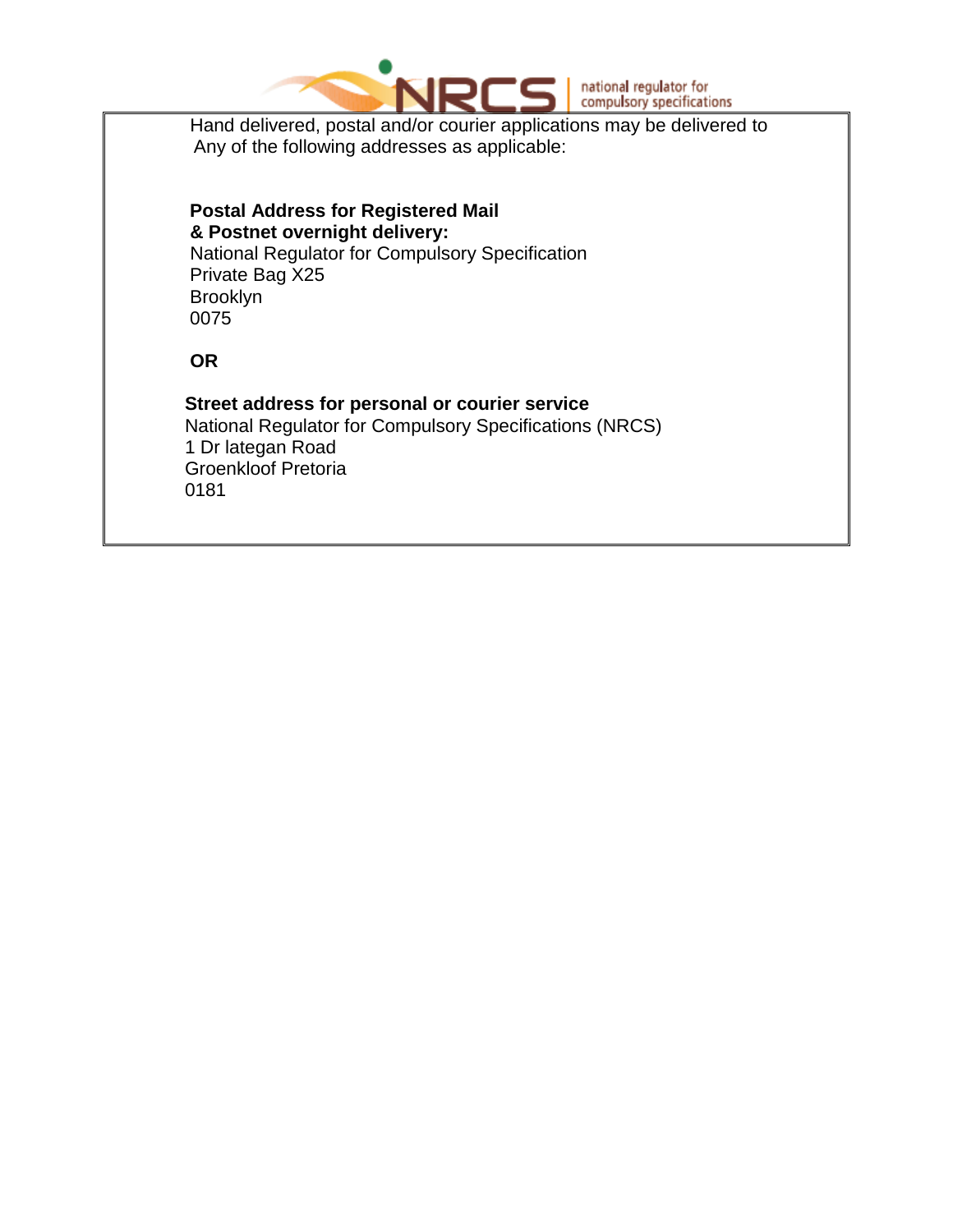

Hand delivered, postal and/or courier applications may be delivered to Any of the following addresses as applicable:

#### **Postal Address for Registered Mail & Postnet overnight delivery:** National Regulator for Compulsory Specification Private Bag X25 Brooklyn 0075

 **OR**

#### **Street address for personal or courier service** National Regulator for Compulsory Specifications (NRCS) 1 Dr lategan Road Groenkloof Pretoria 0181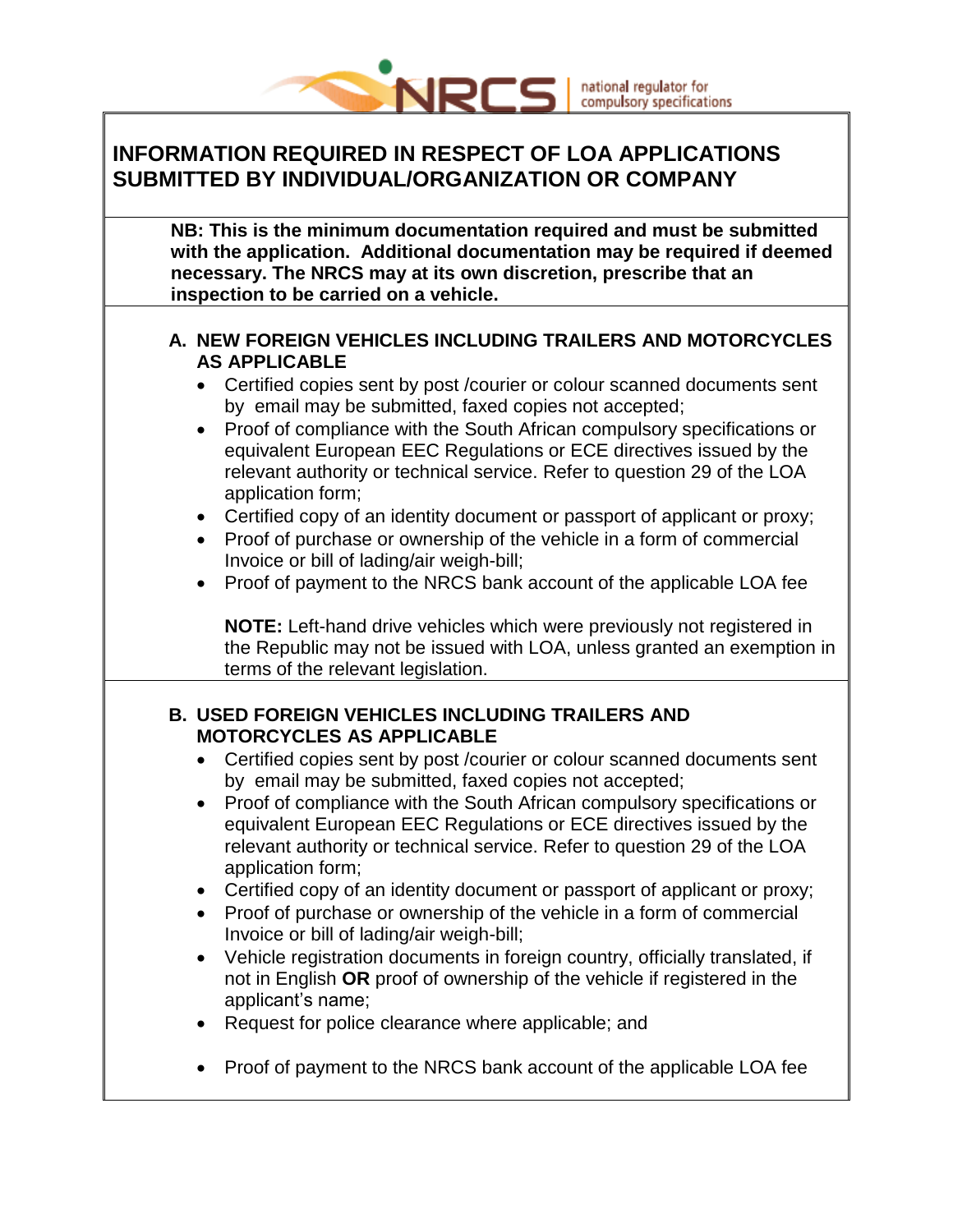

## national regulator for<br>compulsory specifications

### **INFORMATION REQUIRED IN RESPECT OF LOA APPLICATIONS SUBMITTED BY INDIVIDUAL/ORGANIZATION OR COMPANY**

| NB: This is the minimum documentation required and must be submitted<br>with the application. Additional documentation may be required if deemed |
|--------------------------------------------------------------------------------------------------------------------------------------------------|
|                                                                                                                                                  |
| necessary. The NRCS may at its own discretion, prescribe that an                                                                                 |
| inspection to be carried on a vehicle.                                                                                                           |
|                                                                                                                                                  |

#### **A. NEW FOREIGN VEHICLES INCLUDING TRAILERS AND MOTORCYCLES AS APPLICABLE**

- Certified copies sent by post /courier or colour scanned documents sent by email may be submitted, faxed copies not accepted;
- Proof of compliance with the South African compulsory specifications or equivalent European EEC Regulations or ECE directives issued by the relevant authority or technical service. Refer to question 29 of the LOA application form;
- Certified copy of an identity document or passport of applicant or proxy;
- Proof of purchase or ownership of the vehicle in a form of commercial Invoice or bill of lading/air weigh-bill;
- Proof of payment to the NRCS bank account of the applicable LOA fee

**NOTE:** Left-hand drive vehicles which were previously not registered in the Republic may not be issued with LOA, unless granted an exemption in terms of the relevant legislation.

#### **B. USED FOREIGN VEHICLES INCLUDING TRAILERS AND MOTORCYCLES AS APPLICABLE**

- Certified copies sent by post /courier or colour scanned documents sent by email may be submitted, faxed copies not accepted;
- Proof of compliance with the South African compulsory specifications or equivalent European EEC Regulations or ECE directives issued by the relevant authority or technical service. Refer to question 29 of the LOA application form;
- Certified copy of an identity document or passport of applicant or proxy;
- Proof of purchase or ownership of the vehicle in a form of commercial Invoice or bill of lading/air weigh-bill;
- Vehicle registration documents in foreign country, officially translated, if not in English **OR** proof of ownership of the vehicle if registered in the applicant's name;
- Request for police clearance where applicable; and
- Proof of payment to the NRCS bank account of the applicable LOA fee